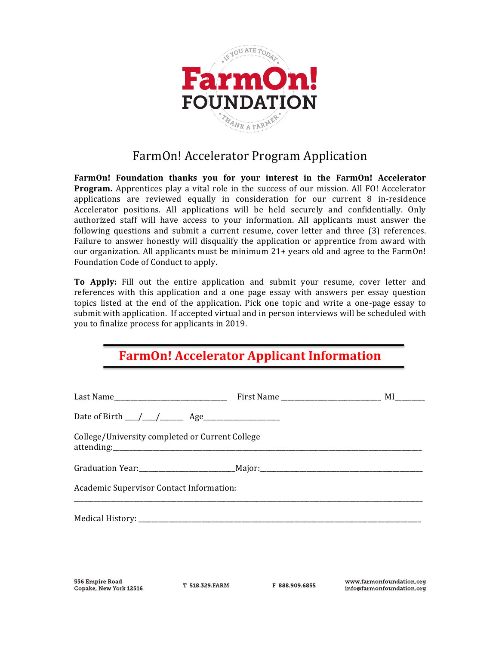

### FarmOn! Accelerator Program Application

**FarmOn! Foundation thanks you for your interest in the FarmOn! Accelerator Program.** Apprentices play a vital role in the success of our mission. All FO! Accelerator applications are reviewed equally in consideration for our current  $8$  in-residence Accelerator positions. All applications will be held securely and confidentially. Only authorized staff will have access to your information. All applicants must answer the following questions and submit a current resume, cover letter and three (3) references. Failure to answer honestly will disqualify the application or apprentice from award with our organization. All applicants must be minimum  $21+$  years old and agree to the FarmOn! Foundation Code of Conduct to apply.

To Apply: Fill out the entire application and submit your resume, cover letter and references with this application and a one page essay with answers per essay question topics listed at the end of the application. Pick one topic and write a one-page essay to submit with application. If accepted virtual and in person interviews will be scheduled with you to finalize process for applicants in 2019.

## **FarmOn! Accelerator Applicant Information**

| College/University completed or Current College                                   |  |  |  |  |
|-----------------------------------------------------------------------------------|--|--|--|--|
| Graduation Year:__________________________Major:_________________________________ |  |  |  |  |
| Academic Supervisor Contact Information:                                          |  |  |  |  |
|                                                                                   |  |  |  |  |

556 Empire Road Copake, New York 12516

T 518 329 FARM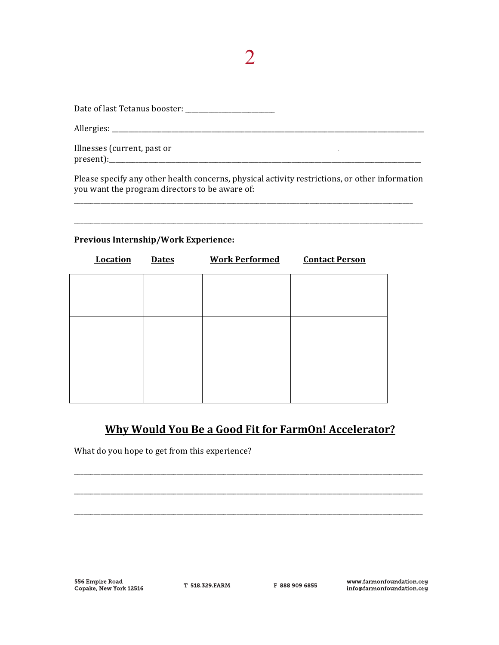#### Date of last Tetanus booster: \_\_\_\_\_\_\_\_\_\_\_\_\_\_\_\_\_\_\_\_\_\_\_

Illnesses (current, past or 

Please specify any other health concerns, physical activity restrictions, or other information you want the program directors to be aware of:

 $\sim$ 

 $\mathcal{L}$ 

### Previous Internship/Work Experience:

| Location | <b>Dates</b> | <b>Work Performed</b> | <b>Contact Person</b> |
|----------|--------------|-----------------------|-----------------------|
|          |              |                       |                       |
|          |              |                       |                       |
|          |              |                       |                       |
|          |              |                       |                       |
|          |              |                       |                       |
|          |              |                       |                       |

### Why Would You Be a Good Fit for FarmOn! Accelerator?

What do you hope to get from this experience?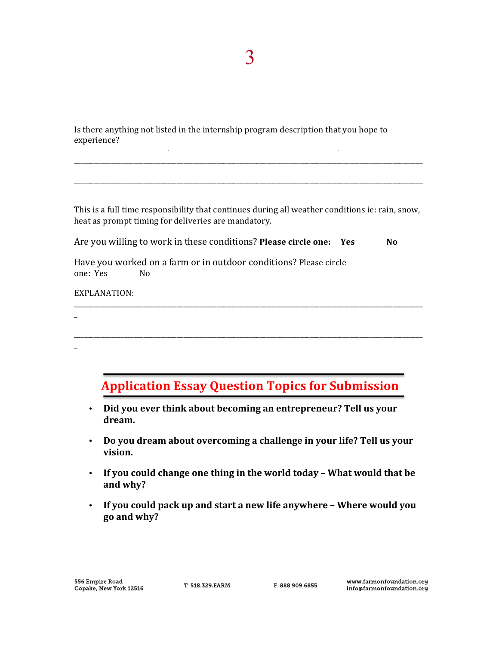Is there anything not listed in the internship program description that you hope to experience? 

This is a full time responsibility that continues during all weather conditions ie: rain, snow, heat as prompt timing for deliveries are mandatory.

\_\_\_\_\_\_\_\_\_\_\_\_\_\_\_\_\_\_\_\_\_\_\_\_\_\_\_\_\_\_\_\_\_\_\_\_\_\_\_\_\_\_\_\_\_\_\_\_\_\_\_\_\_\_\_\_\_\_\_\_\_\_\_\_\_\_\_\_\_\_\_\_\_\_\_\_\_\_\_\_\_\_\_\_\_\_\_\_\_\_\_\_\_\_\_\_\_\_\_\_\_\_\_\_\_

\_\_\_\_\_\_\_\_\_\_\_\_\_\_\_\_\_\_\_\_\_\_\_\_\_\_\_\_\_\_\_\_\_\_\_\_\_\_\_\_\_\_\_\_\_\_\_\_\_\_\_\_\_\_\_\_\_\_\_\_\_\_\_\_\_\_\_\_\_\_\_\_\_\_\_\_\_\_\_\_\_\_\_\_\_\_\_\_\_\_\_\_\_\_\_\_\_\_\_\_\_\_\_\_\_

Are you willing to work in these conditions? Please circle one: Yes No

Have you worked on a farm or in outdoor conditions? Please circle one: Yes No 

EXPLANATION: 

\_

 $\overline{a}$ 

**Application Essay Question Topics for Submission** 

\_\_\_\_\_\_\_\_\_\_\_\_\_\_\_\_\_\_\_\_\_\_\_\_\_\_\_\_\_\_\_\_\_\_\_\_\_\_\_\_\_\_\_\_\_\_\_\_\_\_\_\_\_\_\_\_\_\_\_\_\_\_\_\_\_\_\_\_\_\_\_\_\_\_\_\_\_\_\_\_\_\_\_\_\_\_\_\_\_\_\_\_\_\_\_\_\_\_\_\_\_\_\_\_\_

\_\_\_\_\_\_\_\_\_\_\_\_\_\_\_\_\_\_\_\_\_\_\_\_\_\_\_\_\_\_\_\_\_\_\_\_\_\_\_\_\_\_\_\_\_\_\_\_\_\_\_\_\_\_\_\_\_\_\_\_\_\_\_\_\_\_\_\_\_\_\_\_\_\_\_\_\_\_\_\_\_\_\_\_\_\_\_\_\_\_\_\_\_\_\_\_\_\_\_\_\_\_\_\_\_

- Did you ever think about becoming an entrepreneur? Tell us your **dream.**
- Do you dream about overcoming a challenge in your life? Tell us your **vision.**
- If you could change one thing in the world today What would that be and why?
- If you could pack up and start a new life anywhere Where would you **go and why?**

T 518 329 FARM

F 888 909 6855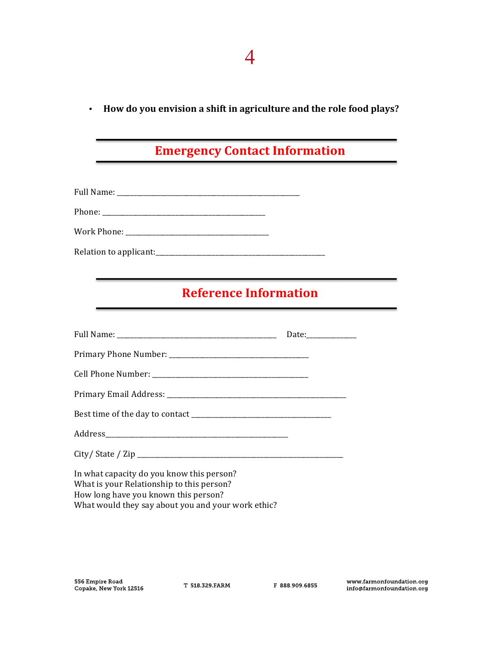4

• How do you envision a shift in agriculture and the role food plays?

## **Emergency Contact Information**

| Full Name:  |  |
|-------------|--|
| Phone:      |  |
| Work Phone: |  |

Relation to applicant:\_\_\_

## **Reference Information**

|                                                    | Date:_____________ |
|----------------------------------------------------|--------------------|
|                                                    |                    |
|                                                    |                    |
|                                                    |                    |
|                                                    |                    |
|                                                    |                    |
|                                                    |                    |
| In what capacity do you know this person?          |                    |
| What is your Relationship to this person?          |                    |
| How long have you known this person?               |                    |
| What would they say about you and your work ethic? |                    |